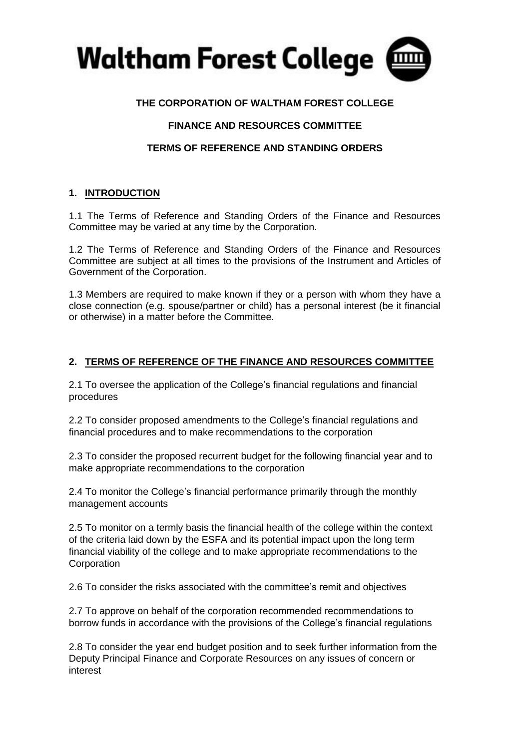

## **THE CORPORATION OF WALTHAM FOREST COLLEGE**

## **FINANCE AND RESOURCES COMMITTEE**

## **TERMS OF REFERENCE AND STANDING ORDERS**

# **1. INTRODUCTION**

1.1 The Terms of Reference and Standing Orders of the Finance and Resources Committee may be varied at any time by the Corporation.

1.2 The Terms of Reference and Standing Orders of the Finance and Resources Committee are subject at all times to the provisions of the Instrument and Articles of Government of the Corporation.

1.3 Members are required to make known if they or a person with whom they have a close connection (e.g. spouse/partner or child) has a personal interest (be it financial or otherwise) in a matter before the Committee.

# **2. TERMS OF REFERENCE OF THE FINANCE AND RESOURCES COMMITTEE**

2.1 To oversee the application of the College's financial regulations and financial procedures

2.2 To consider proposed amendments to the College's financial regulations and financial procedures and to make recommendations to the corporation

2.3 To consider the proposed recurrent budget for the following financial year and to make appropriate recommendations to the corporation

2.4 To monitor the College's financial performance primarily through the monthly management accounts

2.5 To monitor on a termly basis the financial health of the college within the context of the criteria laid down by the ESFA and its potential impact upon the long term financial viability of the college and to make appropriate recommendations to the Corporation

2.6 To consider the risks associated with the committee's remit and objectives

2.7 To approve on behalf of the corporation recommended recommendations to borrow funds in accordance with the provisions of the College's financial regulations

2.8 To consider the year end budget position and to seek further information from the Deputy Principal Finance and Corporate Resources on any issues of concern or interest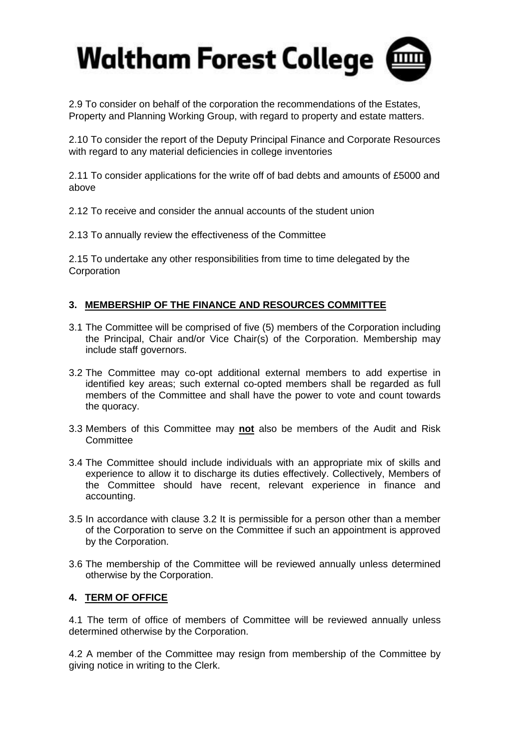

2.9 To consider on behalf of the corporation the recommendations of the Estates, Property and Planning Working Group, with regard to property and estate matters.

2.10 To consider the report of the Deputy Principal Finance and Corporate Resources with regard to any material deficiencies in college inventories

2.11 To consider applications for the write off of bad debts and amounts of £5000 and above

2.12 To receive and consider the annual accounts of the student union

2.13 To annually review the effectiveness of the Committee

2.15 To undertake any other responsibilities from time to time delegated by the **Corporation** 

## **3. MEMBERSHIP OF THE FINANCE AND RESOURCES COMMITTEE**

- 3.1 The Committee will be comprised of five (5) members of the Corporation including the Principal, Chair and/or Vice Chair(s) of the Corporation. Membership may include staff governors.
- 3.2 The Committee may co-opt additional external members to add expertise in identified key areas; such external co-opted members shall be regarded as full members of the Committee and shall have the power to vote and count towards the quoracy.
- 3.3 Members of this Committee may **not** also be members of the Audit and Risk **Committee**
- 3.4 The Committee should include individuals with an appropriate mix of skills and experience to allow it to discharge its duties effectively. Collectively, Members of the Committee should have recent, relevant experience in finance and accounting.
- 3.5 In accordance with clause 3.2 It is permissible for a person other than a member of the Corporation to serve on the Committee if such an appointment is approved by the Corporation.
- 3.6 The membership of the Committee will be reviewed annually unless determined otherwise by the Corporation.

#### **4. TERM OF OFFICE**

4.1 The term of office of members of Committee will be reviewed annually unless determined otherwise by the Corporation.

4.2 A member of the Committee may resign from membership of the Committee by giving notice in writing to the Clerk.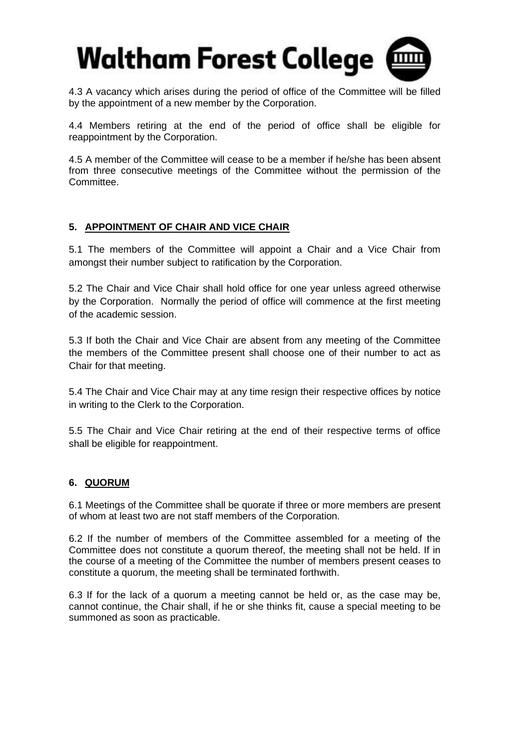

4.3 A vacancy which arises during the period of office of the Committee will be filled by the appointment of a new member by the Corporation.

4.4 Members retiring at the end of the period of office shall be eligible for reappointment by the Corporation.

4.5 A member of the Committee will cease to be a member if he/she has been absent from three consecutive meetings of the Committee without the permission of the Committee.

## **5. APPOINTMENT OF CHAIR AND VICE CHAIR**

5.1 The members of the Committee will appoint a Chair and a Vice Chair from amongst their number subject to ratification by the Corporation.

5.2 The Chair and Vice Chair shall hold office for one year unless agreed otherwise by the Corporation. Normally the period of office will commence at the first meeting of the academic session.

5.3 If both the Chair and Vice Chair are absent from any meeting of the Committee the members of the Committee present shall choose one of their number to act as Chair for that meeting.

5.4 The Chair and Vice Chair may at any time resign their respective offices by notice in writing to the Clerk to the Corporation.

5.5 The Chair and Vice Chair retiring at the end of their respective terms of office shall be eligible for reappointment.

#### **6. QUORUM**

6.1 Meetings of the Committee shall be quorate if three or more members are present of whom at least two are not staff members of the Corporation.

6.2 If the number of members of the Committee assembled for a meeting of the Committee does not constitute a quorum thereof, the meeting shall not be held. If in the course of a meeting of the Committee the number of members present ceases to constitute a quorum, the meeting shall be terminated forthwith.

6.3 If for the lack of a quorum a meeting cannot be held or, as the case may be, cannot continue, the Chair shall, if he or she thinks fit, cause a special meeting to be summoned as soon as practicable.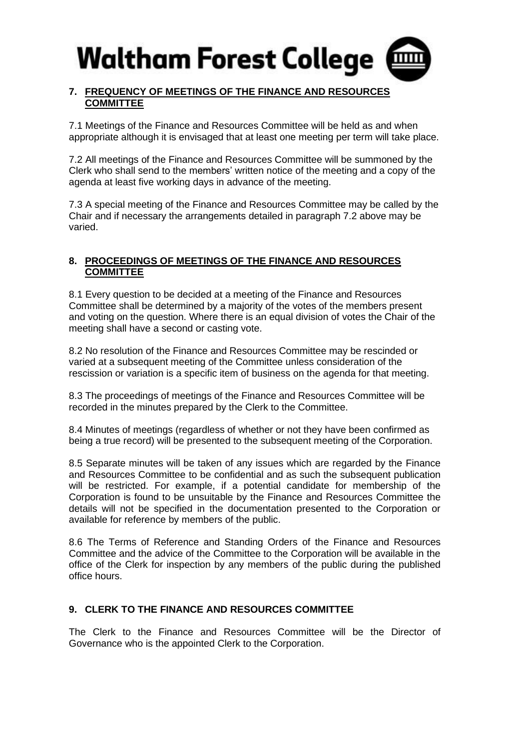

## **7. FREQUENCY OF MEETINGS OF THE FINANCE AND RESOURCES COMMITTEE**

7.1 Meetings of the Finance and Resources Committee will be held as and when appropriate although it is envisaged that at least one meeting per term will take place.

7.2 All meetings of the Finance and Resources Committee will be summoned by the Clerk who shall send to the members' written notice of the meeting and a copy of the agenda at least five working days in advance of the meeting.

7.3 A special meeting of the Finance and Resources Committee may be called by the Chair and if necessary the arrangements detailed in paragraph 7.2 above may be varied.

#### **8. PROCEEDINGS OF MEETINGS OF THE FINANCE AND RESOURCES COMMITTEE**

8.1 Every question to be decided at a meeting of the Finance and Resources Committee shall be determined by a majority of the votes of the members present and voting on the question. Where there is an equal division of votes the Chair of the meeting shall have a second or casting vote.

8.2 No resolution of the Finance and Resources Committee may be rescinded or varied at a subsequent meeting of the Committee unless consideration of the rescission or variation is a specific item of business on the agenda for that meeting.

8.3 The proceedings of meetings of the Finance and Resources Committee will be recorded in the minutes prepared by the Clerk to the Committee.

8.4 Minutes of meetings (regardless of whether or not they have been confirmed as being a true record) will be presented to the subsequent meeting of the Corporation.

8.5 Separate minutes will be taken of any issues which are regarded by the Finance and Resources Committee to be confidential and as such the subsequent publication will be restricted. For example, if a potential candidate for membership of the Corporation is found to be unsuitable by the Finance and Resources Committee the details will not be specified in the documentation presented to the Corporation or available for reference by members of the public.

8.6 The Terms of Reference and Standing Orders of the Finance and Resources Committee and the advice of the Committee to the Corporation will be available in the office of the Clerk for inspection by any members of the public during the published office hours.

#### **9. CLERK TO THE FINANCE AND RESOURCES COMMITTEE**

The Clerk to the Finance and Resources Committee will be the Director of Governance who is the appointed Clerk to the Corporation.